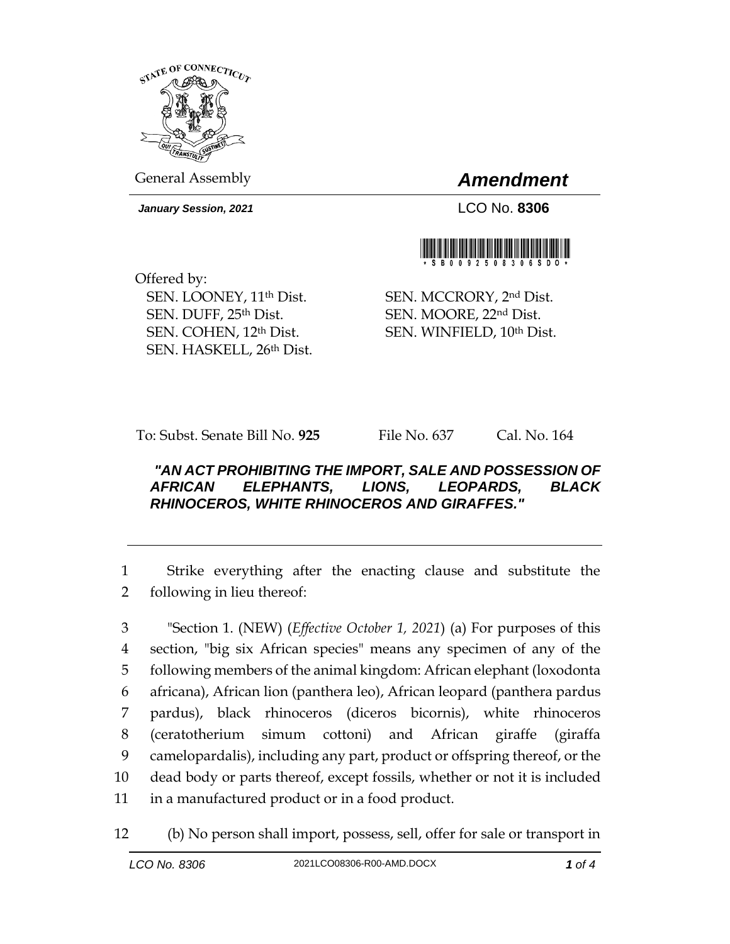

General Assembly *Amendment*

*January Session, 2021* LCO No. **8306**



Offered by: SEN. LOONEY, 11th Dist. SEN. DUFF, 25th Dist. SEN. COHEN, 12th Dist. SEN. HASKELL, 26th Dist.

SEN. MCCRORY, 2nd Dist. SEN. MOORE, 22nd Dist. SEN. WINFIELD, 10th Dist.

To: Subst. Senate Bill No. **925** File No. 637 Cal. No. 164

## *"AN ACT PROHIBITING THE IMPORT, SALE AND POSSESSION OF AFRICAN ELEPHANTS, LIONS, LEOPARDS, BLACK RHINOCEROS, WHITE RHINOCEROS AND GIRAFFES."*

1 Strike everything after the enacting clause and substitute the 2 following in lieu thereof:

 "Section 1. (NEW) (*Effective October 1, 2021*) (a) For purposes of this section, "big six African species" means any specimen of any of the following members of the animal kingdom: African elephant (loxodonta africana), African lion (panthera leo), African leopard (panthera pardus pardus), black rhinoceros (diceros bicornis), white rhinoceros (ceratotherium simum cottoni) and African giraffe (giraffa camelopardalis), including any part, product or offspring thereof, or the dead body or parts thereof, except fossils, whether or not it is included in a manufactured product or in a food product.

12 (b) No person shall import, possess, sell, offer for sale or transport in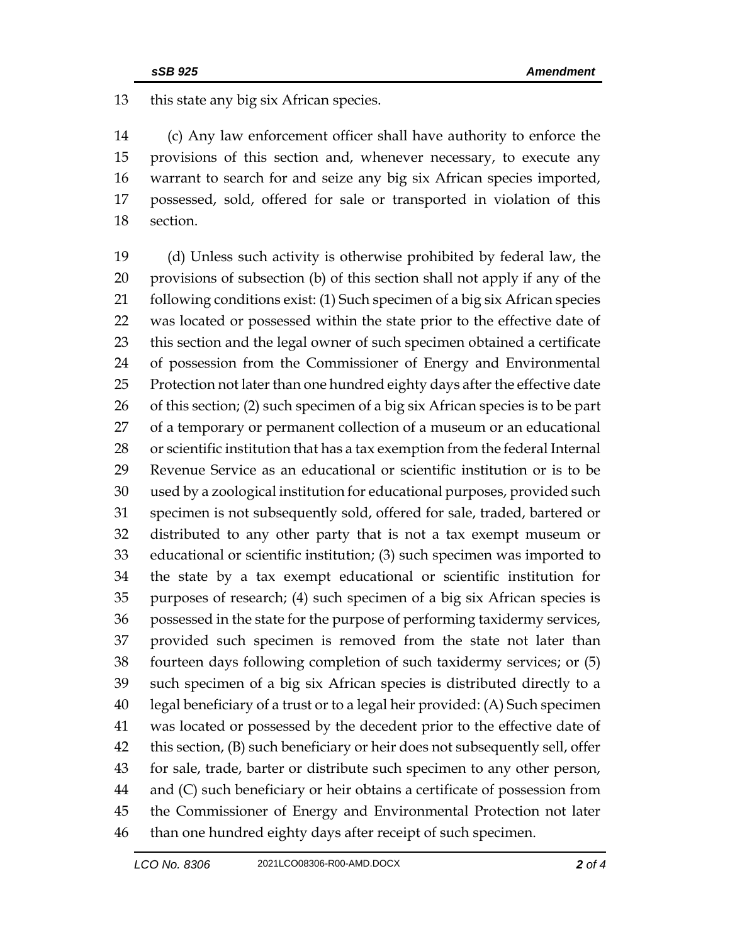this state any big six African species.

 (c) Any law enforcement officer shall have authority to enforce the provisions of this section and, whenever necessary, to execute any warrant to search for and seize any big six African species imported, possessed, sold, offered for sale or transported in violation of this section.

 (d) Unless such activity is otherwise prohibited by federal law, the provisions of subsection (b) of this section shall not apply if any of the 21 following conditions exist: (1) Such specimen of a big six African species was located or possessed within the state prior to the effective date of this section and the legal owner of such specimen obtained a certificate of possession from the Commissioner of Energy and Environmental Protection not later than one hundred eighty days after the effective date of this section; (2) such specimen of a big six African species is to be part of a temporary or permanent collection of a museum or an educational or scientific institution that has a tax exemption from the federal Internal Revenue Service as an educational or scientific institution or is to be used by a zoological institution for educational purposes, provided such specimen is not subsequently sold, offered for sale, traded, bartered or distributed to any other party that is not a tax exempt museum or educational or scientific institution; (3) such specimen was imported to the state by a tax exempt educational or scientific institution for purposes of research; (4) such specimen of a big six African species is possessed in the state for the purpose of performing taxidermy services, provided such specimen is removed from the state not later than fourteen days following completion of such taxidermy services; or (5) such specimen of a big six African species is distributed directly to a legal beneficiary of a trust or to a legal heir provided: (A) Such specimen was located or possessed by the decedent prior to the effective date of this section, (B) such beneficiary or heir does not subsequently sell, offer for sale, trade, barter or distribute such specimen to any other person, and (C) such beneficiary or heir obtains a certificate of possession from the Commissioner of Energy and Environmental Protection not later than one hundred eighty days after receipt of such specimen.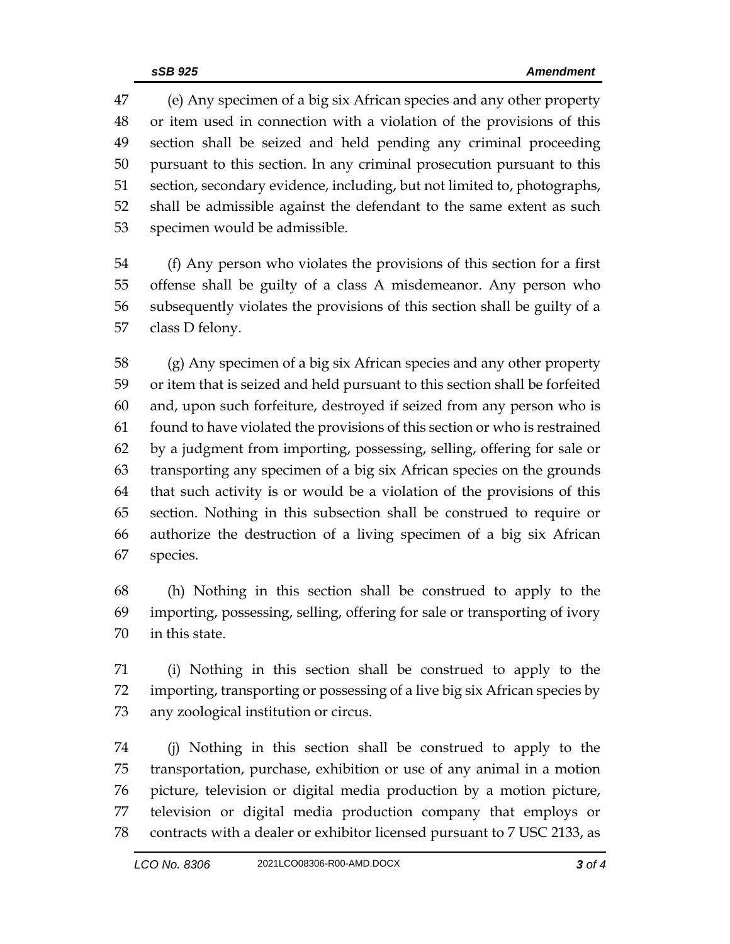(e) Any specimen of a big six African species and any other property or item used in connection with a violation of the provisions of this section shall be seized and held pending any criminal proceeding pursuant to this section. In any criminal prosecution pursuant to this section, secondary evidence, including, but not limited to, photographs, shall be admissible against the defendant to the same extent as such specimen would be admissible.

 (f) Any person who violates the provisions of this section for a first offense shall be guilty of a class A misdemeanor. Any person who subsequently violates the provisions of this section shall be guilty of a class D felony.

 (g) Any specimen of a big six African species and any other property or item that is seized and held pursuant to this section shall be forfeited and, upon such forfeiture, destroyed if seized from any person who is found to have violated the provisions of this section or who is restrained by a judgment from importing, possessing, selling, offering for sale or transporting any specimen of a big six African species on the grounds that such activity is or would be a violation of the provisions of this section. Nothing in this subsection shall be construed to require or authorize the destruction of a living specimen of a big six African species.

 (h) Nothing in this section shall be construed to apply to the importing, possessing, selling, offering for sale or transporting of ivory in this state.

 (i) Nothing in this section shall be construed to apply to the importing, transporting or possessing of a live big six African species by any zoological institution or circus.

 (j) Nothing in this section shall be construed to apply to the transportation, purchase, exhibition or use of any animal in a motion picture, television or digital media production by a motion picture, television or digital media production company that employs or contracts with a dealer or exhibitor licensed pursuant to 7 USC 2133, as